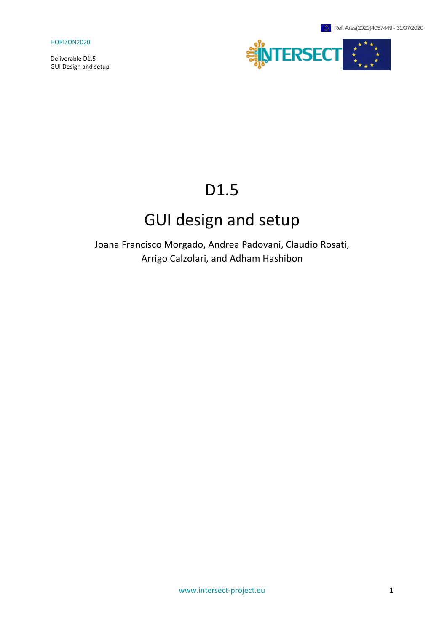Deliverable D1.5 GUI Design and setup



# D1.5

# GUI design and setup

Joana Francisco Morgado, Andrea Padovani, Claudio Rosati, Arrigo Calzolari, and Adham Hashibon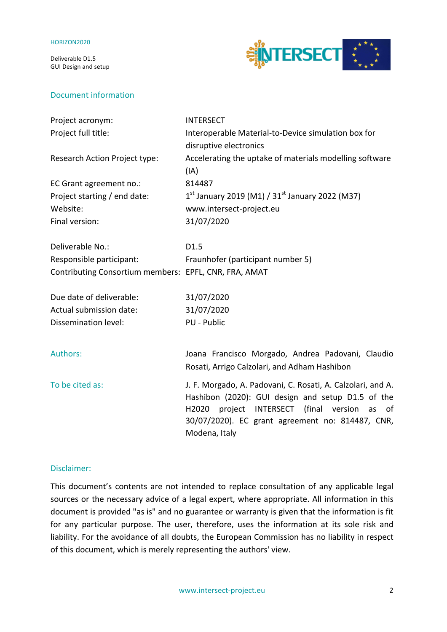Deliverable D1.5 GUI Design and setup

## Document information



| Project acronym:                                      | <b>INTERSECT</b>                                                                                                                                                                                                                            |
|-------------------------------------------------------|---------------------------------------------------------------------------------------------------------------------------------------------------------------------------------------------------------------------------------------------|
| Project full title:                                   | Interoperable Material-to-Device simulation box for                                                                                                                                                                                         |
|                                                       | disruptive electronics                                                                                                                                                                                                                      |
| Research Action Project type:                         | Accelerating the uptake of materials modelling software                                                                                                                                                                                     |
|                                                       | (IA)                                                                                                                                                                                                                                        |
| EC Grant agreement no.:                               | 814487                                                                                                                                                                                                                                      |
| Project starting / end date:                          | $1^{st}$ January 2019 (M1) / 31st January 2022 (M37)                                                                                                                                                                                        |
| Website:                                              | www.intersect-project.eu                                                                                                                                                                                                                    |
| Final version:                                        | 31/07/2020                                                                                                                                                                                                                                  |
| Deliverable No.:                                      | D <sub>1.5</sub>                                                                                                                                                                                                                            |
| Responsible participant:                              | Fraunhofer (participant number 5)                                                                                                                                                                                                           |
| Contributing Consortium members: EPFL, CNR, FRA, AMAT |                                                                                                                                                                                                                                             |
| Due date of deliverable:                              | 31/07/2020                                                                                                                                                                                                                                  |
| Actual submission date:                               | 31/07/2020                                                                                                                                                                                                                                  |
| Dissemination level:                                  | PU - Public                                                                                                                                                                                                                                 |
| Authors:                                              | Joana Francisco Morgado, Andrea Padovani, Claudio<br>Rosati, Arrigo Calzolari, and Adham Hashibon                                                                                                                                           |
| To be cited as:                                       | J. F. Morgado, A. Padovani, C. Rosati, A. Calzolari, and A.<br>Hashibon (2020): GUI design and setup D1.5 of the<br>H2020<br>project INTERSECT (final version as<br>of<br>30/07/2020). EC grant agreement no: 814487, CNR,<br>Modena, Italy |

### Disclaimer:

This document's contents are not intended to replace consultation of any applicable legal sources or the necessary advice of a legal expert, where appropriate. All information in this document is provided "as is" and no guarantee or warranty is given that the information is fit for any particular purpose. The user, therefore, uses the information at its sole risk and liability. For the avoidance of all doubts, the European Commission has no liability in respect of this document, which is merely representing the authors' view.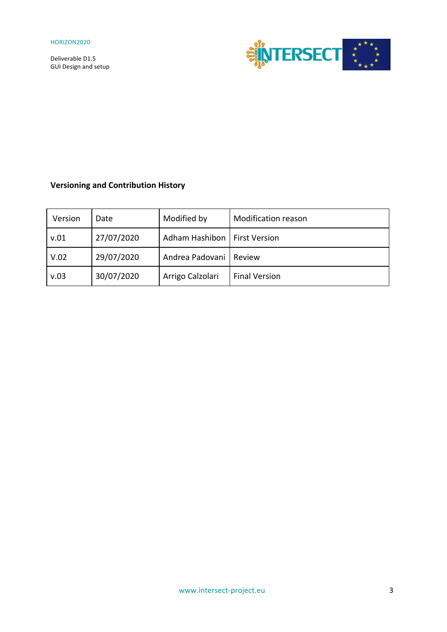

# **Versioning and Contribution History**

| Version | Date       | Modified by                    | <b>Modification reason</b> |
|---------|------------|--------------------------------|----------------------------|
| v.01    | 27/07/2020 | Adham Hashibon   First Version |                            |
| V.02    | 29/07/2020 | Andrea Padovani   Review       |                            |
| v.03    | 30/07/2020 | Arrigo Calzolari               | <b>Final Version</b>       |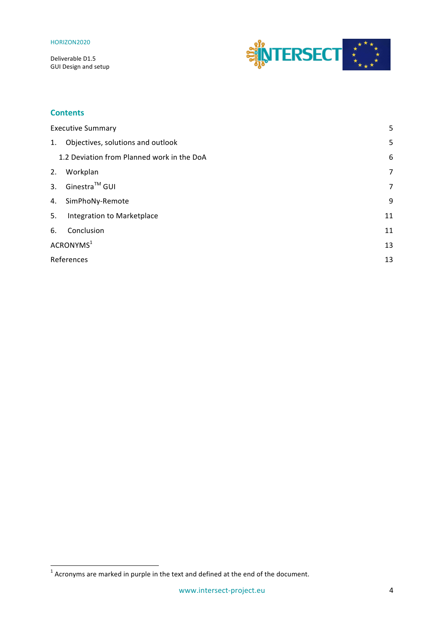Deliverable D1.5 GUI Design and setup



## **Contents**

| <b>Executive Summary</b> |                                            | 5  |
|--------------------------|--------------------------------------------|----|
| 1.                       | Objectives, solutions and outlook          | 5  |
|                          | 1.2 Deviation from Planned work in the DoA | 6  |
| 2.                       | Workplan                                   | 7  |
| 3.                       | Ginestra <sup>™</sup> GUI                  | 7  |
| 4.                       | SimPhoNy-Remote                            | 9  |
| 5.                       | Integration to Marketplace                 | 11 |
| 6.                       | Conclusion                                 | 11 |
|                          | ACRONYMS <sup>1</sup>                      | 13 |
|                          | References                                 | 13 |

<u> 1989 - Jan Samuel Barbara, margaret e</u>

<sup>&</sup>lt;sup>1</sup> Acronyms are marked in purple in the text and defined at the end of the document.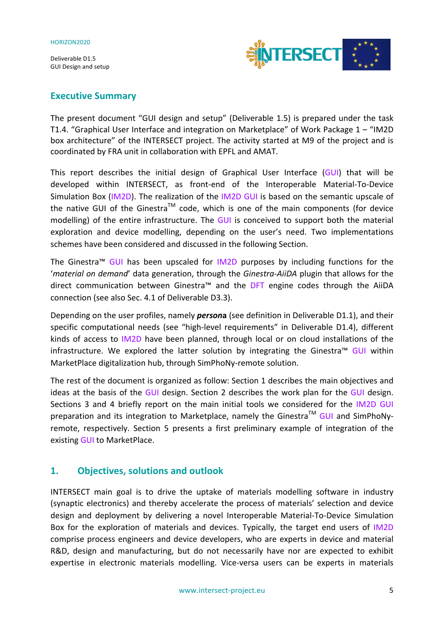

## **Executive Summary**

The present document "GUI design and setup" (Deliverable 1.5) is prepared under the task T1.4. "Graphical User Interface and integration on Marketplace" of Work Package 1 - "IM2D box architecture" of the INTERSECT project. The activity started at M9 of the project and is coordinated by FRA unit in collaboration with EPFL and AMAT.

This report describes the initial design of Graphical User Interface  $(GUI)$  that will be developed within INTERSECT, as front-end of the Interoperable Material-To-Device Simulation Box (IM2D). The realization of the IM2D GUI is based on the semantic upscale of the native GUI of the Ginestra<sup>TM</sup> code, which is one of the main components (for device modelling) of the entire infrastructure. The GUI is conceived to support both the material exploration and device modelling, depending on the user's need. Two implementations schemes have been considered and discussed in the following Section.

The Ginestra<sup>m</sup> GUI has been upscaled for IM2D purposes by including functions for the '*material* on demand' data generation, through the Ginestra-AiiDA plugin that allows for the direct communication between Ginestra™ and the DFT engine codes through the AiiDA connection (see also Sec. 4.1 of Deliverable D3.3).

Depending on the user profiles, namely *persona* (see definition in Deliverable D1.1), and their specific computational needs (see "high-level requirements" in Deliverable D1.4), different kinds of access to IM2D have been planned, through local or on cloud installations of the infrastructure. We explored the latter solution by integrating the Ginestra™ GUI within MarketPlace digitalization hub, through SimPhoNy-remote solution.

The rest of the document is organized as follow: Section 1 describes the main objectives and ideas at the basis of the GUI design. Section 2 describes the work plan for the GUI design. Sections 3 and 4 briefly report on the main initial tools we considered for the IM2D GUI preparation and its integration to Marketplace, namely the Ginestra<sup>TM</sup> GUI and SimPhoNyremote, respectively. Section 5 presents a first preliminary example of integration of the existing **GUI** to MarketPlace.

## **1. Objectives, solutions and outlook**

INTERSECT main goal is to drive the uptake of materials modelling software in industry (synaptic electronics) and thereby accelerate the process of materials' selection and device design and deployment by delivering a novel Interoperable Material-To-Device Simulation Box for the exploration of materials and devices. Typically, the target end users of IM2D comprise process engineers and device developers, who are experts in device and material R&D, design and manufacturing, but do not necessarily have nor are expected to exhibit expertise in electronic materials modelling. Vice-versa users can be experts in materials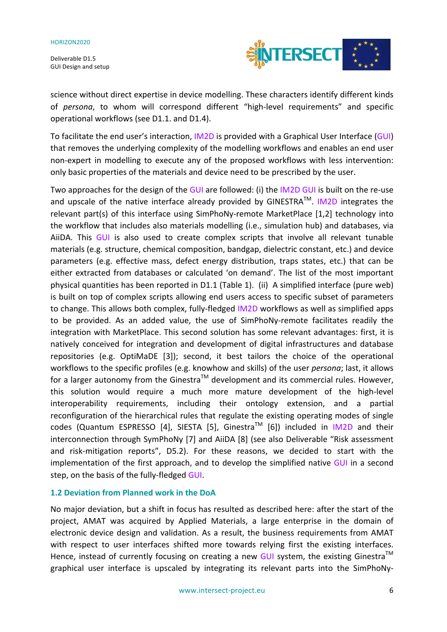Deliverable D1.5 **GUI Design and setup** 



science without direct expertise in device modelling. These characters identify different kinds of persona, to whom will correspond different "high-level requirements" and specific operational workflows (see D1.1. and D1.4).

To facilitate the end user's interaction, IM2D is provided with a Graphical User Interface (GUI) that removes the underlying complexity of the modelling workflows and enables an end user non-expert in modelling to execute any of the proposed workflows with less intervention: only basic properties of the materials and device need to be prescribed by the user.

Two approaches for the design of the GUI are followed: (i) the IM2D GUI is built on the re-use and upscale of the native interface already provided by GINESTRA<sup>TM</sup>. IM2D integrates the relevant part(s) of this interface using SimPhoNy-remote MarketPlace [1,2] technology into the workflow that includes also materials modelling (i.e., simulation hub) and databases, via AiiDA. This GUI is also used to create complex scripts that involve all relevant tunable materials (e.g. structure, chemical composition, bandgap, dielectric constant, etc.) and device parameters (e.g. effective mass, defect energy distribution, traps states, etc.) that can be either extracted from databases or calculated 'on demand'. The list of the most important physical quantities has been reported in D1.1 (Table 1). (ii) A simplified interface (pure web) is built on top of complex scripts allowing end users access to specific subset of parameters to change. This allows both complex, fully-fledged IM2D workflows as well as simplified apps to be provided. As an added value, the use of SimPhoNy-remote facilitates readily the integration with MarketPlace. This second solution has some relevant advantages: first, it is natively conceived for integration and development of digital infrastructures and database repositories (e.g. OptiMaDE [3]); second, it best tailors the choice of the operational workflows to the specific profiles (e.g. knowhow and skills) of the user *persona*; last, it allows for a larger autonomy from the Ginestra<sup>TM</sup> development and its commercial rules. However, this solution would require a much more mature development of the high-level interoperability requirements, including their ontology extension, and a partial reconfiguration of the hierarchical rules that regulate the existing operating modes of single codes (Quantum ESPRESSO [4], SIESTA [5], Ginestra<sup>TM</sup> [6]) included in IM2D and their interconnection through SymPhoNy [7] and AiiDA [8] (see also Deliverable "Risk assessment and risk-mitigation reports", D5.2). For these reasons, we decided to start with the implementation of the first approach, and to develop the simplified native GUI in a second step, on the basis of the fully-fledged GUI.

### **1.2 Deviation from Planned work in the DoA**

No major deviation, but a shift in focus has resulted as described here: after the start of the project, AMAT was acquired by Applied Materials, a large enterprise in the domain of electronic device design and validation. As a result, the business requirements from AMAT with respect to user interfaces shifted more towards relying first the existing interfaces. Hence, instead of currently focusing on creating a new GUI system, the existing Ginestra<sup>TM</sup> graphical user interface is upscaled by integrating its relevant parts into the SimPhoNy-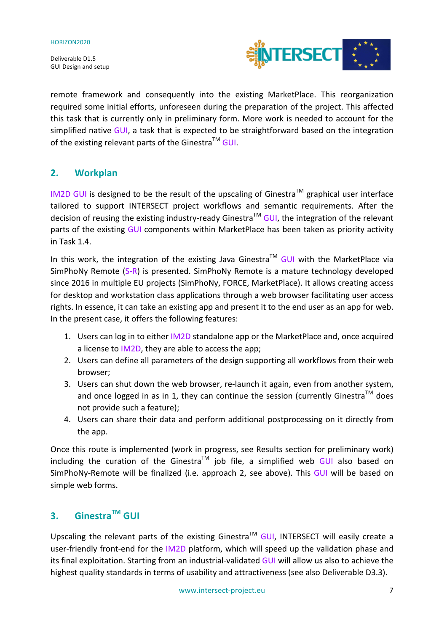

remote framework and consequently into the existing MarketPlace. This reorganization required some initial efforts, unforeseen during the preparation of the project. This affected this task that is currently only in preliminary form. More work is needed to account for the simplified native GUI, a task that is expected to be straightforward based on the integration of the existing relevant parts of the Ginestra<sup>TM</sup> GUI.

# **2. Workplan**

IM2D GUI is designed to be the result of the upscaling of Ginestra<sup>TM</sup> graphical user interface tailored to support INTERSECT project workflows and semantic requirements. After the decision of reusing the existing industry-ready Ginestra<sup>TM</sup> GUI, the integration of the relevant parts of the existing GUI components within MarketPlace has been taken as priority activity in Task 1.4.

In this work, the integration of the existing Java Ginestra<sup>TM</sup> GUI with the MarketPlace via SimPhoNy Remote  $(S-R)$  is presented. SimPhoNy Remote is a mature technology developed since 2016 in multiple EU projects (SimPhoNy, FORCE, MarketPlace). It allows creating access for desktop and workstation class applications through a web browser facilitating user access rights. In essence, it can take an existing app and present it to the end user as an app for web. In the present case, it offers the following features:

- 1. Users can log in to either IM2D standalone app or the MarketPlace and, once acquired a license to IM2D, they are able to access the app;
- 2. Users can define all parameters of the design supporting all workflows from their web browser;
- 3. Users can shut down the web browser, re-launch it again, even from another system, and once logged in as in 1, they can continue the session (currently Ginestra<sup>TM</sup> does not provide such a feature);
- 4. Users can share their data and perform additional postprocessing on it directly from the app.

Once this route is implemented (work in progress, see Results section for preliminary work) including the curation of the Ginestra<sup>TM</sup> job file, a simplified web GUI also based on SimPhoNy-Remote will be finalized (i.e. approach 2, see above). This GUI will be based on simple web forms.

# **3. GinestraTM GUI**

Upscaling the relevant parts of the existing Ginestra<sup>TM</sup> GUI, INTERSECT will easily create a user-friendly front-end for the IM2D platform, which will speed up the validation phase and its final exploitation. Starting from an industrial-validated GUI will allow us also to achieve the highest quality standards in terms of usability and attractiveness (see also Deliverable D3.3).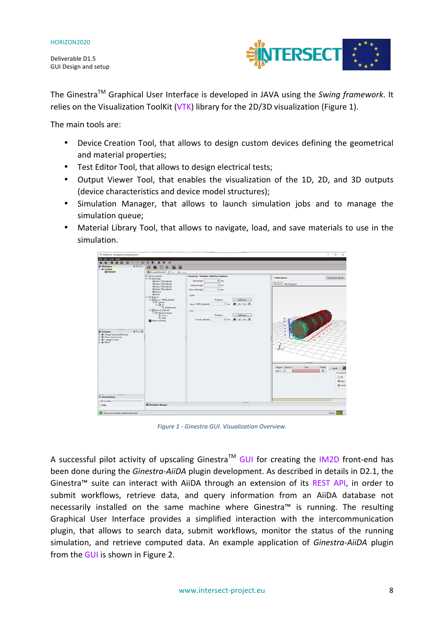Deliverable D1.5 **GUI Design and setup** 



The Ginestra<sup>™</sup> Graphical User Interface is developed in JAVA using the *Swing framework*. It relies on the Visualization ToolKit (VTK) library for the 2D/3D visualization (Figure 1).

The main tools are:

- Device Creation Tool, that allows to design custom devices defining the geometrical and material properties;
- Test Editor Tool, that allows to design electrical tests;
- Output Viewer Tool, that enables the visualization of the 1D, 2D, and 3D outputs (device characteristics and device model structures);
- Simulation Manager, that allows to launch simulation iobs and to manage the simulation queue;
- Material Library Tool, that allows to navigate, load, and save materials to use in the simulation.



*Figure 1 - Ginestra GUI. Visualization Overview.* 

A successful pilot activity of upscaling Ginestra<sup>TM</sup> GUI for creating the IM2D front-end has been done during the *Ginestra-AiiDA* plugin development. As described in details in D2.1, the Ginestra<sup>™</sup> suite can interact with AiiDA through an extension of its REST API, in order to submit workflows, retrieve data, and query information from an AiiDA database not necessarily installed on the same machine where Ginestra™ is running. The resulting Graphical User Interface provides a simplified interaction with the intercommunication plugin, that allows to search data, submit workflows, monitor the status of the running simulation, and retrieve computed data. An example application of *Ginestra-AiiDA* plugin from the GUI is shown in Figure 2.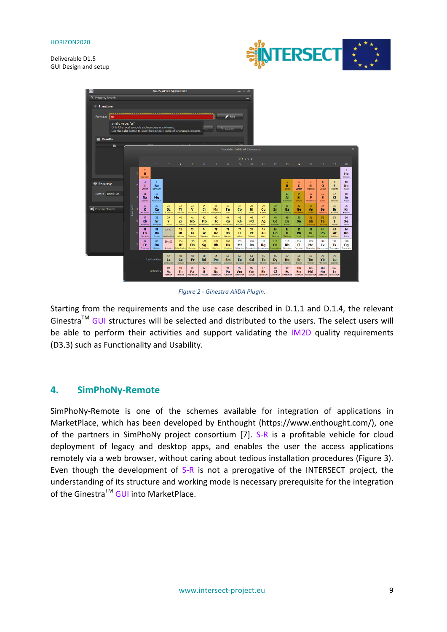



*Figure 2 - Ginestra AiiDA Plugin.*

Starting from the requirements and the use case described in D.1.1 and D.1.4, the relevant Ginestra<sup>TM</sup> GUI structures will be selected and distributed to the users. The select users will be able to perform their activities and support validating the IM2D quality requirements (D3.3) such as Functionality and Usability.

## **4. SimPhoNy-Remote**

SimPhoNy-Remote is one of the schemes available for integration of applications in MarketPlace, which has been developed by Enthought (https://www.enthought.com/), one of the partners in SimPhoNy project consortium  $[7]$ . S-R is a profitable vehicle for cloud deployment of legacy and desktop apps, and enables the user the access applications remotely via a web browser, without caring about tedious installation procedures (Figure 3). Even though the development of  $S-R$  is not a prerogative of the INTERSECT project, the understanding of its structure and working mode is necessary prerequisite for the integration of the Ginestra<sup>TM</sup> GUI into MarketPlace.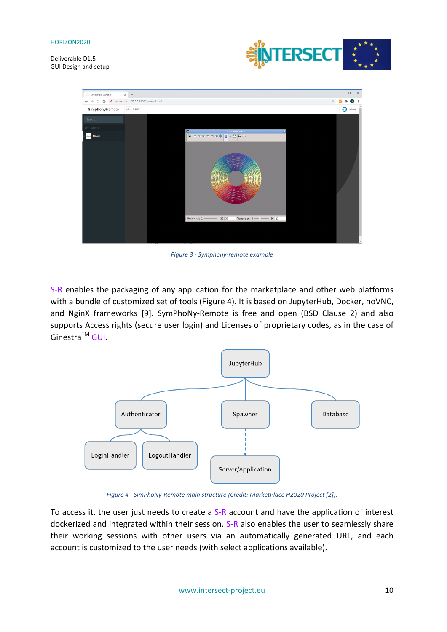Deliverable D1.5 GUI Design and setup





*Figure 3 - Symphony-remote example*

S-R enables the packaging of any application for the marketplace and other web platforms with a bundle of customized set of tools (Figure 4). It is based on JupyterHub, Docker, noVNC, and NginX frameworks [9]. SymPhoNy-Remote is free and open (BSD Clause 2) and also supports Access rights (secure user login) and Licenses of proprietary codes, as in the case of Ginestra<sup>™</sup> GUI.



*Figure 4 - SimPhoNy-Remote main structure (Credit: MarketPlace H2020 Project [2]).* 

To access it, the user just needs to create a  $S-R$  account and have the application of interest dockerized and integrated within their session. S-R also enables the user to seamlessly share their working sessions with other users via an automatically generated URL, and each account is customized to the user needs (with select applications available).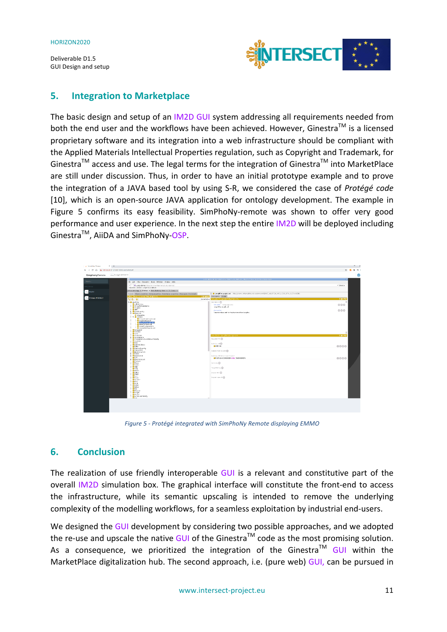

## **5. Integration to Marketplace**

The basic design and setup of an IM2D GUI system addressing all requirements needed from both the end user and the workflows have been achieved. However, Ginestra<sup>TM</sup> is a licensed proprietary software and its integration into a web infrastructure should be compliant with the Applied Materials Intellectual Properties regulation, such as Copyright and Trademark, for Ginestra<sup>TM</sup> access and use. The legal terms for the integration of Ginestra<sup>TM</sup> into MarketPlace are still under discussion. Thus, in order to have an initial prototype example and to prove the integration of a JAVA based tool by using S-R, we considered the case of *Protégé code* [10], which is an open-source JAVA application for ontology development. The example in Figure 5 confirms its easy feasibility. SimPhoNy-remote was shown to offer very good performance and user experience. In the next step the entire IM2D will be deployed including Ginestra<sup>™</sup>, AiiDA and SimPhoNy-OSP.

| C International Internet<br>$A$ $T$                |                                                                                                                                                                                                                                                                                                                                                                                                              |                                                                                                                                                                                                                                | ×              |  |
|----------------------------------------------------|--------------------------------------------------------------------------------------------------------------------------------------------------------------------------------------------------------------------------------------------------------------------------------------------------------------------------------------------------------------------------------------------------------------|--------------------------------------------------------------------------------------------------------------------------------------------------------------------------------------------------------------------------------|----------------|--|
| ← → B △ ▲ Not secure   127.0.0.1.0000/user/zdham/# |                                                                                                                                                                                                                                                                                                                                                                                                              |                                                                                                                                                                                                                                | 図 キ ヨ (<br>÷   |  |
| SimphonyRemote                                     | Chairman of WRITE                                                                                                                                                                                                                                                                                                                                                                                            |                                                                                                                                                                                                                                | $\circledcirc$ |  |
| Seven.                                             | File Edit view Recogner Topio Refector Gindow Hole                                                                                                                                                                                                                                                                                                                                                           | 130 difful Standard General Charles II (Standard Standard Standard Standard Standard Standard Standard Standard Standard Standard Standard Standard Standard Standard Standard Standard Standard Standard Standard Standard St |                |  |
| PRUSSTORS                                          | < > 0 100 cloims2 (http://www.inforenward.co.planet)<br>Beautinic ArtGee   LongisteriangUitani                                                                                                                                                                                                                                                                                                               |                                                                                                                                                                                                                                | * Story.       |  |
|                                                    | Active stroking x Esches x Individuals by class x 50.00ery x<br>Casses (Object properties Data properties   Arnotation properties   Datatypes   Individuals                                                                                                                                                                                                                                                  | C O Longit PorLeaghtLet - http://conmo.mb/mdclo/units-extension@PRNC_cd647234_4550_4369_676_4147cc4d2855                                                                                                                       |                |  |
| <b>Exp</b> Protegge INTERSECT                      | lass tierarchy LengthPercengo Unit<br>12 0. 10                                                                                                                                                                                                                                                                                                                                                               | NULLES Anotatons Usage<br>mosions tendentendium.<br>Asseted v I                                                                                                                                                                | 5.0506         |  |
|                                                    | <b>W-@ own Thing</b><br><b>Orad Not You</b><br><b>Carount015, Estance</b><br><b>C</b> Arrywar                                                                                                                                                                                                                                                                                                                | $Institute \fbox{C}$<br>nteriable (anguage en)<br>erghPer.erghi.nt                                                                                                                                                             | 000            |  |
|                                                    | $-0.95$<br><b>F</b> Clevelarity<br><b>T-BateJnt</b><br>O Stherett s<br><b>T- @ UstOne</b><br>· Amounther/meant.in L<br>- Consideration<br>- Constitution of firms<br>- MassPerkess.in t<br>· Speed wrspeeding<br>- WarnsPervis une unit<br><b>Becaused</b><br>Cancela<br>O Card.<br><b>O</b> Colection<br>+ Converciona<br>Convertisea Cuantist vehiclesty<br>$O$ Coulama<br><b>O</b> Deci<br>· Degreefolias | National<br>Dimensionless unit for the financian of two lengths.<br>Description tenatives engineer<br>Torotet To (<br>suicizo of C                                                                                             | 000<br>医血管周围   |  |
|                                                    | <b>O</b> Deka<br>+ Donvocouency<br><b>E</b> Detunctive<br>- Block follument<br>$+$ OFH <sub>30</sub>                                                                                                                                                                                                                                                                                                         | $00$ chicano<br><b>General Fast Bulletin CD</b>                                                                                                                                                                                | 0000           |  |
|                                                    | + Braincord<br><b>OF</b> FIX<br>+ Bractionstale<br><b>BEAMATE</b><br>· Ecroc<br><b>O</b> Fendo<br>$-6000$<br>$0$ Gray<br>· Hotto<br>$0$ I leave:<br>$b$ Hotz<br><b>O</b> form<br>· O Incor<br><b>Blockberr</b><br><b>O</b> ten<br><b>O</b> Exile<br><b>O</b> Kotol<br><b>O</b> Kuhan<br>$-$ 0 kHz<br><b>Okkgan</b><br>· Blendth<br><b>BLUTTER</b><br><b>O</b> Luminous intensity<br>20111                    | SubCiass Of Merchmore Ancister!<br>Chack we column that any Character One<br><b>WENTING</b><br>Target for Key (D)<br><b>PRINCIPED</b><br>Display Leice Of CD                                                                   | 0000           |  |
|                                                    |                                                                                                                                                                                                                                                                                                                                                                                                              |                                                                                                                                                                                                                                |                |  |

*Figure 5 - Protégé integrated with SimPhoNy Remote displaying EMMO*

## **6. Conclusion**

The realization of use friendly interoperable GUI is a relevant and constitutive part of the overall IM2D simulation box. The graphical interface will constitute the front-end to access the infrastructure, while its semantic upscaling is intended to remove the underlying complexity of the modelling workflows, for a seamless exploitation by industrial end-users.

We designed the GUI development by considering two possible approaches, and we adopted the re-use and upscale the native GUI of the Ginestra<sup>TM</sup> code as the most promising solution. As a consequence, we prioritized the integration of the Ginestra<sup>TM</sup> GUI within the MarketPlace digitalization hub. The second approach, i.e. (pure web) GUI, can be pursued in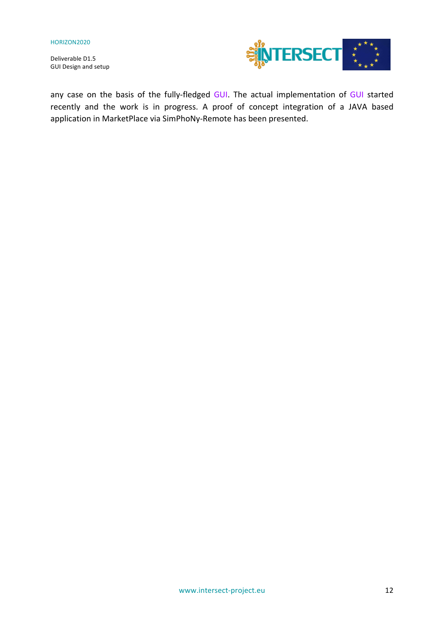Deliverable D1.5 GUI Design and setup



any case on the basis of the fully-fledged GUI. The actual implementation of GUI started recently and the work is in progress. A proof of concept integration of a JAVA based application in MarketPlace via SimPhoNy-Remote has been presented.